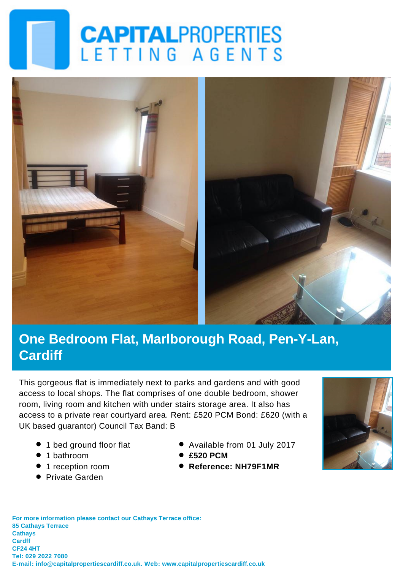# **CAPITALPROPERTIES** LETTING AGENTS



### **One Bedroom Flat, Marlborough Road, Pen-Y-Lan, Cardiff**

This gorgeous flat is immediately next to parks and gardens and with good access to local shops. The flat comprises of one double bedroom, shower room, living room and kitchen with under stairs storage area. It also has access to a private rear courtyard area. Rent: £520 PCM Bond: £620 (with a UK based guarantor) Council Tax Band: B

- 1 bed ground floor flat
- 1 bathroom
- 1 reception room
- **•** Private Garden
- Available from 01 July 2017
- **£520 PCM**
- **Reference: NH79F1MR**



**For more information please contact our Cathays Terrace office: 85 Cathays Terrace Cathays Cardff CF24 4HT Tel: 029 2022 7080 E-mail: info@capitalpropertiescardiff.co.uk. Web: www.capitalpropertiescardiff.co.uk**